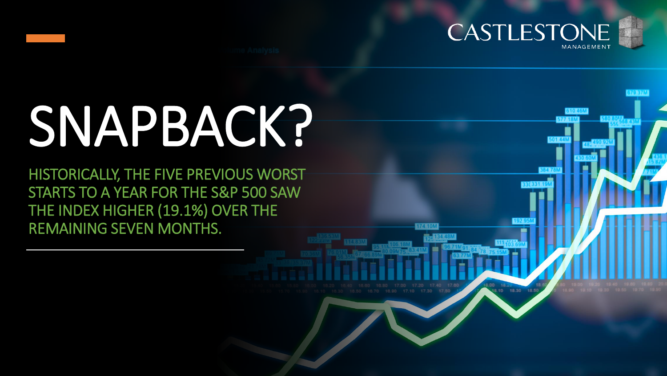

**VANDARI** 

# SNAPBACK?

HISTORICALLY, THE FIVE PREVIOUS WORST STARTS TO A YEAR FOR THE S&P 500 SAW THE INDEX HIGHER (19.1%) OVER THE REMAINING SEVEN MONTHS.

8.10 18.30 18.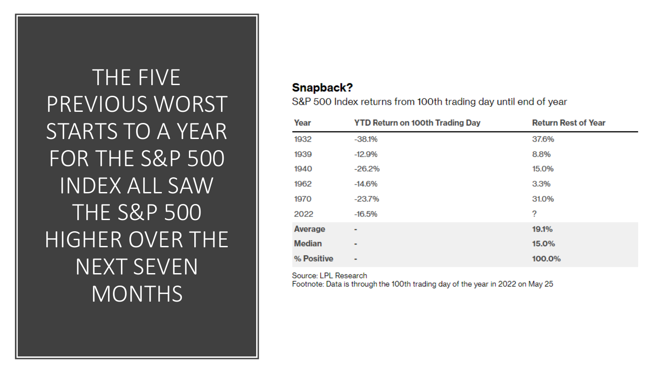THE FIVE PREVIOUS WORST STARTS TO A YEAR FOR THE S&P 500 **INDEX ALL SAW THE S&P 500** HIGHER OVER THE **NEXT SEVEN MONTHS** 

#### Snapback?

S&P 500 Index returns from 100th trading day until end of year

| Year          | <b>YTD Return on 100th Trading Day</b> | <b>Return Rest of Year</b> |
|---------------|----------------------------------------|----------------------------|
| 1932          | $-38.1%$                               | 37.6%                      |
| 1939          | $-12.9%$                               | 8.8%                       |
| 1940          | $-26.2%$                               | 15.0%                      |
| 1962          | $-14.6%$                               | 3.3%                       |
| 1970          | $-23.7%$                               | 31.0%                      |
| 2022          | $-16.5%$                               | ?                          |
| Average       | ۰                                      | 19.1%                      |
| <b>Median</b> | ۰                                      | 15.0%                      |
| % Positive    | $\blacksquare$                         | 100.0%                     |

Source: LPL Research

Footnote: Data is through the 100th trading day of the year in 2022 on May 25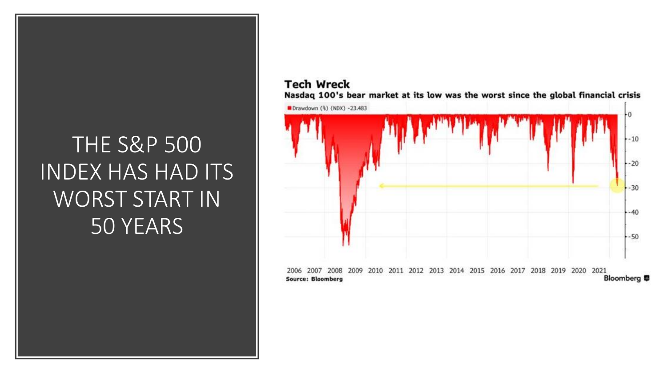### THE S&P 500 INDEX HAS HAD ITS WORST START IN 50 YEARS

#### **Tech Wreck** Nasdaq 100's bear market at its low was the worst since the global financial crisis

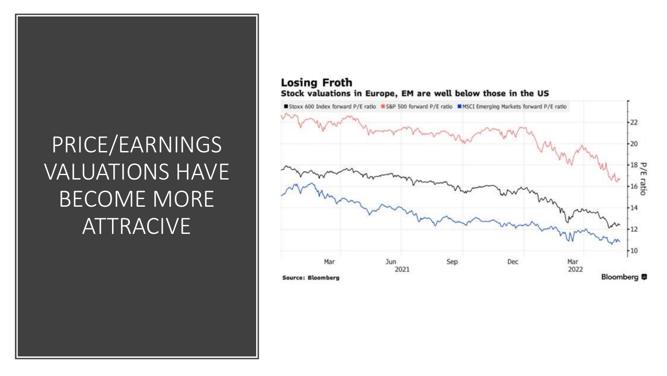# PRICE/EARNINGS VALUATIONS HAVE BECOME MORE **ATTRACIVE**

#### **Losing Froth** Stock valuations in Europe, EM are well below those in the US

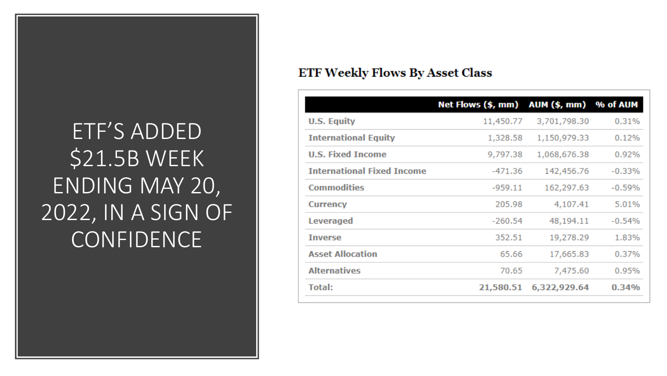### ETF'S ADDED \$21.5B WEEK ENDING MAY 20, 2022, IN A SIGN OF CONFIDENCE

#### **ETF Weekly Flows By Asset Class**

|                                   | Net Flows (\$, mm) AUM (\$, mm) % of AUM |              |           |
|-----------------------------------|------------------------------------------|--------------|-----------|
| <b>U.S. Equity</b>                | 11,450.77                                | 3,701,798.30 | 0.31%     |
| <b>International Equity</b>       | 1,328.58                                 | 1,150,979.33 | 0.12%     |
| <b>U.S. Fixed Income</b>          | 9,797.38                                 | 1,068,676.38 | 0.92%     |
| <b>International Fixed Income</b> | -471.36                                  | 142,456.76   | $-0.33\%$ |
| <b>Commodities</b>                | $-959.11$                                | 162,297.63   | $-0.59%$  |
| <b>Currency</b>                   | 205.98                                   | 4,107.41     | 5.01%     |
| <b>Leveraged</b>                  | $-260.54$                                | 48,194.11    | $-0.54%$  |
| <b>Inverse</b>                    | 352.51                                   | 19,278.29    | 1.83%     |
| <b>Asset Allocation</b>           | 65.66                                    | 17,665.83    | 0.37%     |
| <b>Alternatives</b>               | 70.65                                    | 7,475.60     | 0.95%     |
| <b>Total:</b>                     | 21,580.51                                | 6,322,929.64 | 0.34%     |
|                                   |                                          |              |           |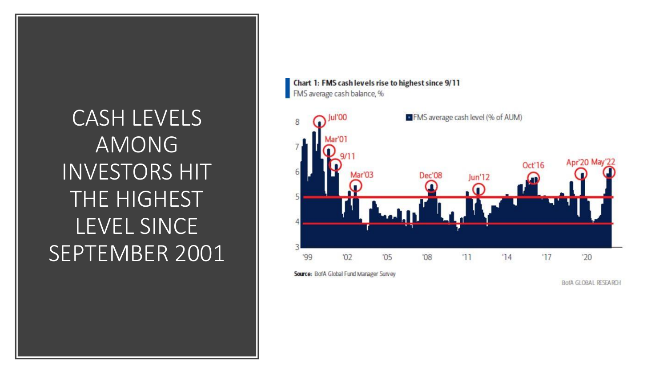### CASH LEVELS AMONG INVESTORS HIT THE HIGHEST LEVEL SINCE SEPTEMBER 2001



**BofA GLOBAL RESEARCH**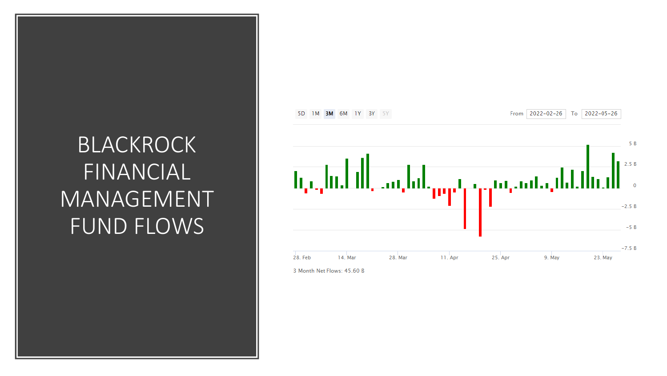### BLACKROCK FINANCIAL MANAGEMENT FUND FLOWS



3 Month Net Flows: 45.60 B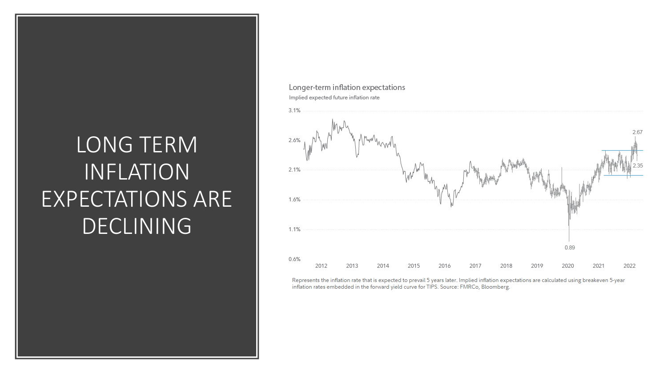### LONG TERM INFLATION EXPECTATIONS ARE DECLINING

#### Longer-term inflation expectations Implied expected future inflation rate



Represents the inflation rate that is expected to prevail 5 years later. Implied inflation expectations are calculated using breakeven 5-year inflation rates embedded in the forward yield curve for TIPS. Source: FMRCo, Bloomberg.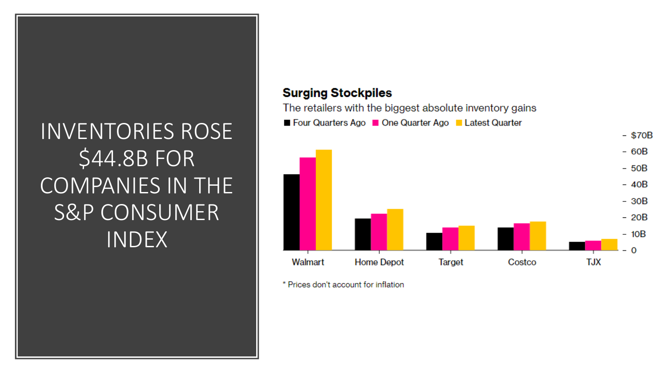# **INVENTORIES ROSE** \$44.8B FOR **COMPANIES IN THE S&P CONSUMER INDEX**

#### **Surging Stockpiles**

The retailers with the biggest absolute inventory gains



Four Quarters Ago **Constant Ago Constant** Latest Quarter

\* Prices don't account for inflation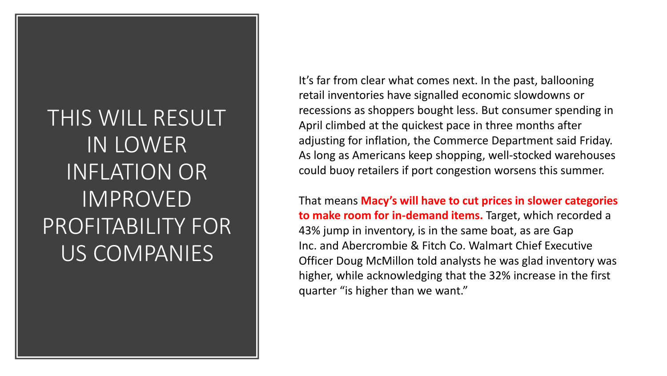### THIS WILL RESULT IN LOWER INFLATION OR IMPROVED PROFITABILITY FOR US COMPANIES

It's far from clear what comes next. In the past, ballooning retail inventories have signalled economic slowdowns or recessions as shoppers bought less. But consumer spending in April climbed at the quickest pace in three months after adjusting for inflation, the Commerce Department said Friday. As long as Americans keep shopping, well-stocked warehouses could buoy retailers if port congestion worsens this summer.

That means **Macy's will have to cut prices in slower categories to make room for in-demand items.** Target, which recorded a 43% jump in inventory, is in the same boat, as are Gap Inc. and Abercrombie & Fitch Co. Walmart Chief Executive Officer Doug McMillon told analysts he was glad inventory was higher, while acknowledging that the 32% increase in the first quarter "is higher than we want."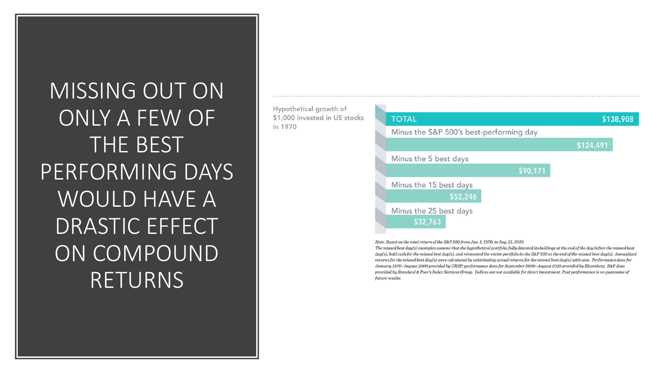MISSING OUT ON ONLY A FEW OF THE BEST PERFORMING DAYS WOULD HAVE A DRASTIC EFFECT ON COMPOUND RETURNS

in 1970



Note: Based on the total return of the S&P 500 from Jan. 1, 1970, to Aug. 31, 2019.

The missed best day(s) examples assume that the hypothetical portfolio fully divested its holdings at the end of the day before the missed best  $day(s)$ , held cash for the missed best day(s), and reinvested the entire portfolio in the S&P 500 at the end of the missed best day(s). Annualized returns for the missed best day(s) were calculated by substituting actual returns for the missed best day(s) with zero. Performance data for January 1970-August 2008 provided by CRSP; performance data for September 2008-August 2019 provided by Bloomberg. S&P data provided by Standard & Poor's Index Services Group. Indices are not available for direct investment. Past performance is no guarantee of future results.